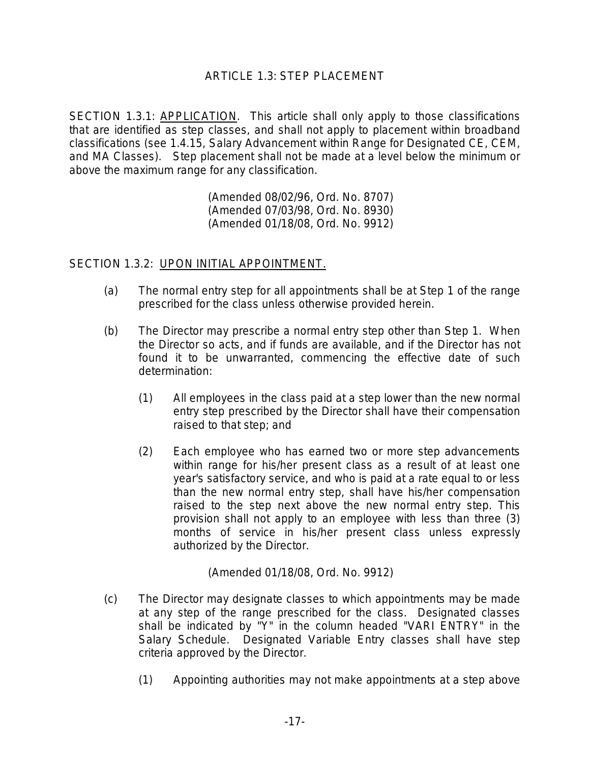## ARTICLE 1.3: STEP PLACEMENT

SECTION 1.3.1: APPLICATION. This article shall only apply to those classifications that are identified as step classes, and shall not apply to placement within broadband classifications (see 1.4.15, Salary Advancement within Range for Designated CE, CEM, and MA Classes). Step placement shall not be made at a level below the minimum or above the maximum range for any classification.

> (Amended 08/02/96, Ord. No. 8707) (Amended 07/03/98, Ord. No. 8930) (Amended 01/18/08, Ord. No. 9912)

#### SECTION 1.3.2: UPON INITIAL APPOINTMENT.

- (a) The normal entry step for all appointments shall be at Step 1 of the range prescribed for the class unless otherwise provided herein.
- (b) The Director may prescribe a normal entry step other than Step 1. When the Director so acts, and if funds are available, and if the Director has not found it to be unwarranted, commencing the effective date of such determination:
	- (1) All employees in the class paid at a step lower than the new normal entry step prescribed by the Director shall have their compensation raised to that step; and
	- (2) Each employee who has earned two or more step advancements within range for his/her present class as a result of at least one year's satisfactory service, and who is paid at a rate equal to or less than the new normal entry step, shall have his/her compensation raised to the step next above the new normal entry step. This provision shall not apply to an employee with less than three (3) months of service in his/her present class unless expressly authorized by the Director.

(Amended 01/18/08, Ord. No. 9912)

- (c) The Director may designate classes to which appointments may be made at any step of the range prescribed for the class. Designated classes shall be indicated by "Y" in the column headed "VARI ENTRY" in the Salary Schedule. Designated Variable Entry classes shall have step criteria approved by the Director.
	- (1) Appointing authorities may not make appointments at a step above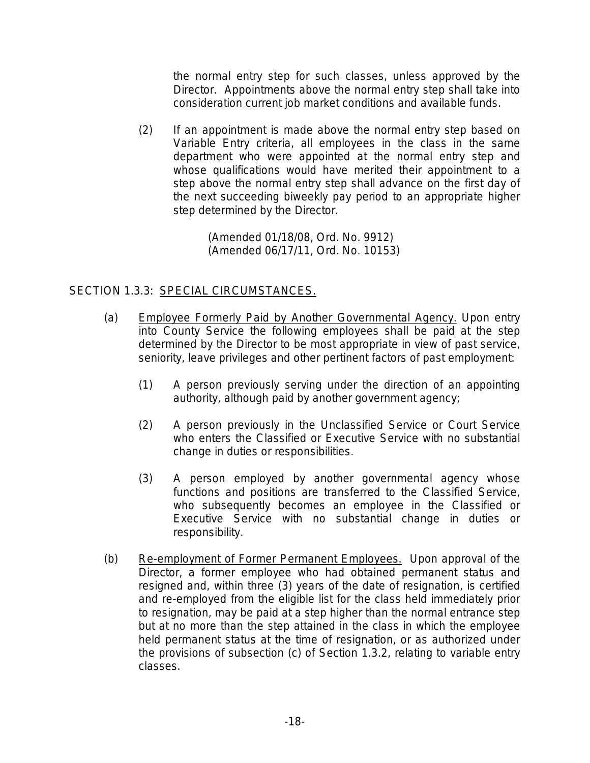the normal entry step for such classes, unless approved by the Director. Appointments above the normal entry step shall take into consideration current job market conditions and available funds.

(2) If an appointment is made above the normal entry step based on Variable Entry criteria, all employees in the class in the same department who were appointed at the normal entry step and whose qualifications would have merited their appointment to a step above the normal entry step shall advance on the first day of the next succeeding biweekly pay period to an appropriate higher step determined by the Director.

> (Amended 01/18/08, Ord. No. 9912) (Amended 06/17/11, Ord. No. 10153)

# SECTION 1.3.3: SPECIAL CIRCUMSTANCES.

- (a) Employee Formerly Paid by Another Governmental Agency. Upon entry into County Service the following employees shall be paid at the step determined by the Director to be most appropriate in view of past service, seniority, leave privileges and other pertinent factors of past employment:
	- (1) A person previously serving under the direction of an appointing authority, although paid by another government agency;
	- (2) A person previously in the Unclassified Service or Court Service who enters the Classified or Executive Service with no substantial change in duties or responsibilities.
	- (3) A person employed by another governmental agency whose functions and positions are transferred to the Classified Service, who subsequently becomes an employee in the Classified or Executive Service with no substantial change in duties or responsibility.
- (b) Re-employment of Former Permanent Employees. Upon approval of the Director, a former employee who had obtained permanent status and resigned and, within three (3) years of the date of resignation, is certified and re-employed from the eligible list for the class held immediately prior to resignation, may be paid at a step higher than the normal entrance step but at no more than the step attained in the class in which the employee held permanent status at the time of resignation, or as authorized under the provisions of subsection (c) of Section 1.3.2, relating to variable entry classes.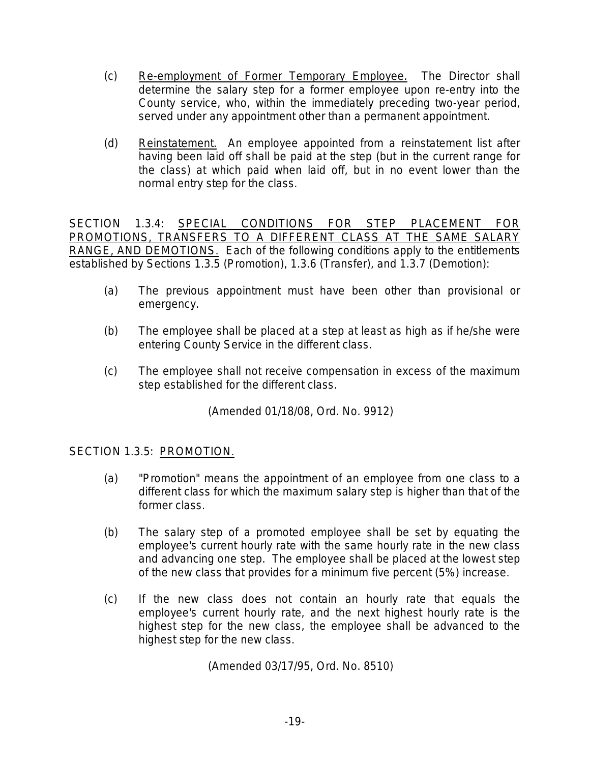- (c) Re-employment of Former Temporary Employee. The Director shall determine the salary step for a former employee upon re-entry into the County service, who, within the immediately preceding two-year period, served under any appointment other than a permanent appointment.
- (d) Reinstatement. An employee appointed from a reinstatement list after having been laid off shall be paid at the step (but in the current range for the class) at which paid when laid off, but in no event lower than the normal entry step for the class.

SECTION 1.3.4: SPECIAL CONDITIONS FOR STEP PLACEMENT FOR PROMOTIONS, TRANSFERS TO A DIFFERENT CLASS AT THE SAME SALARY RANGE, AND DEMOTIONS. Each of the following conditions apply to the entitlements established by Sections 1.3.5 (Promotion), 1.3.6 (Transfer), and 1.3.7 (Demotion):

- (a) The previous appointment must have been other than provisional or emergency.
- (b) The employee shall be placed at a step at least as high as if he/she were entering County Service in the different class.
- (c) The employee shall not receive compensation in excess of the maximum step established for the different class.

(Amended 01/18/08, Ord. No. 9912)

# SECTION 1.3.5: PROMOTION.

- (a) "Promotion" means the appointment of an employee from one class to a different class for which the maximum salary step is higher than that of the former class.
- (b) The salary step of a promoted employee shall be set by equating the employee's current hourly rate with the same hourly rate in the new class and advancing one step. The employee shall be placed at the lowest step of the new class that provides for a minimum five percent (5%) increase.
- (c) If the new class does not contain an hourly rate that equals the employee's current hourly rate, and the next highest hourly rate is the highest step for the new class, the employee shall be advanced to the highest step for the new class.

(Amended 03/17/95, Ord. No. 8510)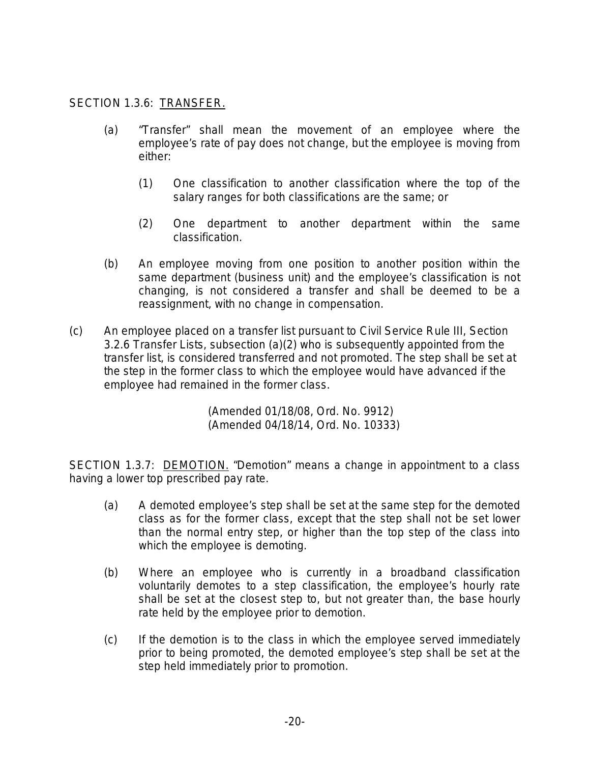## SECTION 1.3.6: TRANSFER.

- (a) "Transfer" shall mean the movement of an employee where the employee's rate of pay does not change, but the employee is moving from either:
	- (1) One classification to another classification where the top of the salary ranges for both classifications are the same; or
	- (2) One department to another department within the same classification.
- (b) An employee moving from one position to another position within the same department (business unit) and the employee's classification is not changing, is not considered a transfer and shall be deemed to be a reassignment, with no change in compensation.
- (c) An employee placed on a transfer list pursuant to Civil Service Rule III, Section 3.2.6 Transfer Lists, subsection (a)(2) who is subsequently appointed from the transfer list, is considered transferred and not promoted. The step shall be set at the step in the former class to which the employee would have advanced if the employee had remained in the former class.

(Amended 01/18/08, Ord. No. 9912) (Amended 04/18/14, Ord. No. 10333)

SECTION 1.3.7: DEMOTION. "Demotion" means a change in appointment to a class having a lower top prescribed pay rate.

- (a) A demoted employee's step shall be set at the same step for the demoted class as for the former class, except that the step shall not be set lower than the normal entry step, or higher than the top step of the class into which the employee is demoting.
- (b) Where an employee who is currently in a broadband classification voluntarily demotes to a step classification, the employee's hourly rate shall be set at the closest step to, but not greater than, the base hourly rate held by the employee prior to demotion.
- (c) If the demotion is to the class in which the employee served immediately prior to being promoted, the demoted employee's step shall be set at the step held immediately prior to promotion.